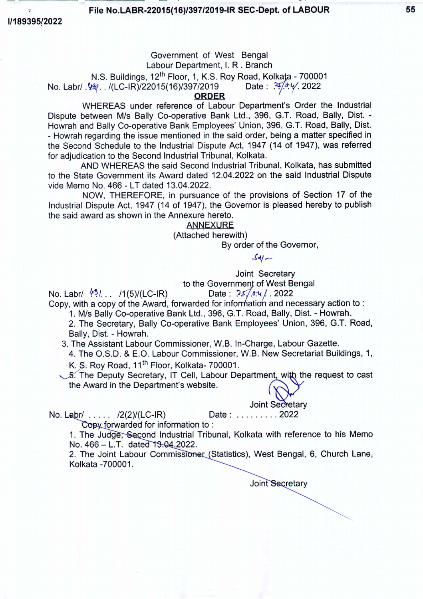File No.LABR-22015(16)/397/2019-IR SEC-Dept. of LABOUR 55

*11189395/2022*

### Government of West Bengal Labour Department, I. R . Branch N.S. Buildings, 12<sup>th</sup> Floor, 1, K.S. Roy Road, Kolkata - 700001 No. Labr/ .<sup>1</sup>/24. . /(LC-IR)/22015(16)/397/2019 Date:  $\frac{25}{3}$ . . /(2022 ORDER

WHEREAS under reference of Labour Department's Order the Industrial Dispute between *Mis* Bally Co-operative Bank Ltd., 396, G.T. Road, Bally, Dist. - Howrah and Bally Co-operative Bank Employees' Union, 396, G.T. Road, Bally, Dist. - Howrah regarding the issue mentioned in the said order, being a matter specified in the Second Schedule to the Industrial Dispute Act, 1947 (14 of 1947), was referred for adjudication to the Second Industrial Tribunal, Kolkata.

AND WHEREAS the said Second Industrial Tribunal, Kolkata, has submitted to the State Government its Award dated 12.04.2022 on the said Industrial Dispute vide Memo No. 466 - LT dated 13.04.2022.

NOW, THEREFORE, in pursuance of the provisions of Section 17 of the Industrial Dispute Act, 1947 (14 of 1947), the Governor is pleased hereby to publish the said award as shown in the Annexure hereto.

ANNEXURE

(Attached herewith)

By order of the Governor,

*..t~1,.-*

Joint Secretary

to the Government of West Bengal<br>Date:  $?25.647.2022$ 

No. Labr/  $\frac{43}{1}$ ... /1(5)/(LC-IR)

Copy, with a copy of the Award, forwarded for information and necessary action to:

*1. Mis* Bally Co-operative Bank Ltd., 396, G.T. Road, Bally, Dist. - Howrah.

2. The Secretary, Bally Co-operative Bank Employees' Union, 396, G.T. Road, Bally, Dist. - Howrah.

3. The Assistant Labour Commissioner, W.B. In-Charge, Labour Gazette.

4. The O.S.D. & E.O. Labour Commissioner, W.B. New Secretariat Buildings, 1,

K. S. Rov Road, 11<sup>th</sup> Floor, Kolkata- 700001.

 $&5.$  The Deputy Secretary, IT Cell, Labour Department, with the request to cast the Award in the Department's website.

**Joint Secretary** 

No. Labr/ .... /2(2)/(LC-IR) Date: ........ 2022

Copy forwarded for information to:

1. The Judge, Second Industrial Tribunal, Kolkata with reference to his Memo No. 466 - L.T. dated 13.04.2022.

2. The Joint Labour Commissioner (Statistics), West Bengal, 6, Church Lane, Kolkata -700001.

Joint Secretary